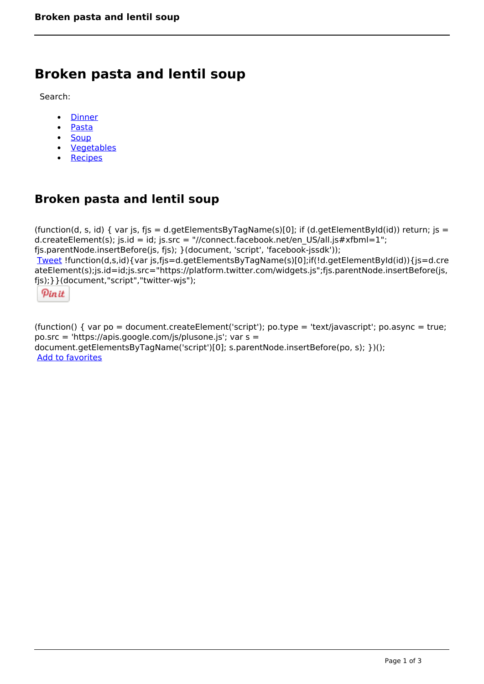# **Broken pasta and lentil soup**

Search:

- **[Dinner](https://www.naturalhealthmag.com.au/nourish/dinner-ideas)**  $\bullet$
- [Pasta](https://www.naturalhealthmag.com.au/nourish/pasta)  $\bullet$
- $\bullet$ **[Soup](https://www.naturalhealthmag.com.au/nourish/soup)**
- [Vegetables](https://www.naturalhealthmag.com.au/nourish/veg)
- [Recipes](https://www.naturalhealthmag.com.au/nourish/recipes)

## **Broken pasta and lentil soup**

(function(d, s, id) { var is, fis = d.getElementsByTagName(s)[0]; if (d.getElementById(id)) return; is = d.createElement(s); js.id = id; js.src = "//connect.facebook.net/en\_US/all.js#xfbml=1"; fjs.parentNode.insertBefore(js, fjs); }(document, 'script', 'facebook-jssdk')); [Tweet](https://twitter.com/share) !function(d,s,id){var js,fjs=d.getElementsByTagName(s)[0];if(!d.getElementById(id)){js=d.cre ateElement(s);js.id=id;js.src="https://platform.twitter.com/widgets.js";fjs.parentNode.insertBefore(js, fjs);}}(document,"script","twitter-wjs");

Pinit

(function() { var po = document.createElement('script'); po.type = 'text/javascript'; po.async = true; po.src = 'https://apis.google.com/js/plusone.js'; var s = document.getElementsByTagName('script')[0]; s.parentNode.insertBefore(po, s); })(); Add to favorites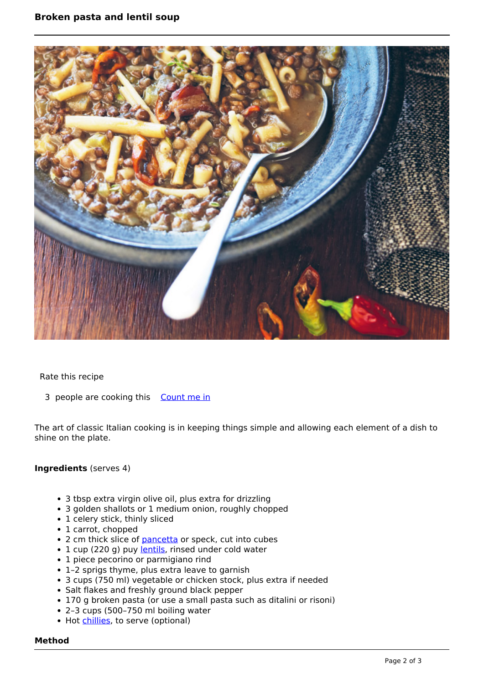

Rate this recipe

3 people are cooking this [Count me in](https://www.naturalhealthmag.com.au/flag/flag/favorites/1456?destination=printpdf%2F1456&token=e735b31a9c319b442c3dde4407275903)

The art of classic Italian cooking is in keeping things simple and allowing each element of a dish to shine on the plate.

### **Ingredients** (serves 4)

- 3 tbsp extra virgin olive oil, plus extra for drizzling
- 3 golden shallots or 1 medium onion, roughly chopped
- 1 celery stick, thinly sliced
- 1 carrot, chopped
- 2 cm thick slice of [pancetta](http://www.naturalhealthmag.com.au/nourish/chicken-and-pancetta-meatballs-kale-broth) or speck, cut into cubes
- 1 cup (220 g) puy [lentils,](http://www.naturalhealthmag.com.au/nourish/green-lentils-beetroot-walnuts-and-goats-cheese) rinsed under cold water
- 1 piece pecorino or parmigiano rind
- 1–2 sprigs thyme, plus extra leave to garnish
- 3 cups (750 ml) vegetable or chicken stock, plus extra if needed
- Salt flakes and freshly ground black pepper
- 170 g broken pasta (or use a small pasta such as ditalini or risoni)
- 2–3 cups (500–750 ml boiling water
- Hot [chillies,](http://www.naturalhealthmag.com.au/nourish/lamb-noodle-salad-chilli-and-mint) to serve (optional)

#### **Method**